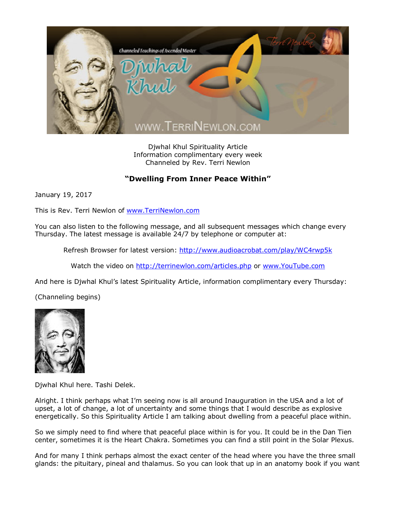

Djwhal Khul Spirituality Article Information complimentary every week Channeled by Rev. Terri Newlon

## **"Dwelling From Inner Peace Within"**

January 19, 2017

This is Rev. Terri Newlon of [www.TerriNewlon.com](http://www.terrinewlon.com/)

You can also listen to the following message, and all subsequent messages which change every Thursday. The latest message is available 24/7 by telephone or computer at:

Refresh Browser for latest version: <http://www.audioacrobat.com/play/WC4rwp5k>

Watch the video on <http://terrinewlon.com/articles.php> or [www.YouTube.com](http://www.youtube.com/)

And here is Djwhal Khul's latest Spirituality Article, information complimentary every Thursday:

(Channeling begins)



Djwhal Khul here. Tashi Delek.

Alright. I think perhaps what I'm seeing now is all around Inauguration in the USA and a lot of upset, a lot of change, a lot of uncertainty and some things that I would describe as explosive energetically. So this Spirituality Article I am talking about dwelling from a peaceful place within.

So we simply need to find where that peaceful place within is for you. It could be in the Dan Tien center, sometimes it is the Heart Chakra. Sometimes you can find a still point in the Solar Plexus.

And for many I think perhaps almost the exact center of the head where you have the three small glands: the pituitary, pineal and thalamus. So you can look that up in an anatomy book if you want